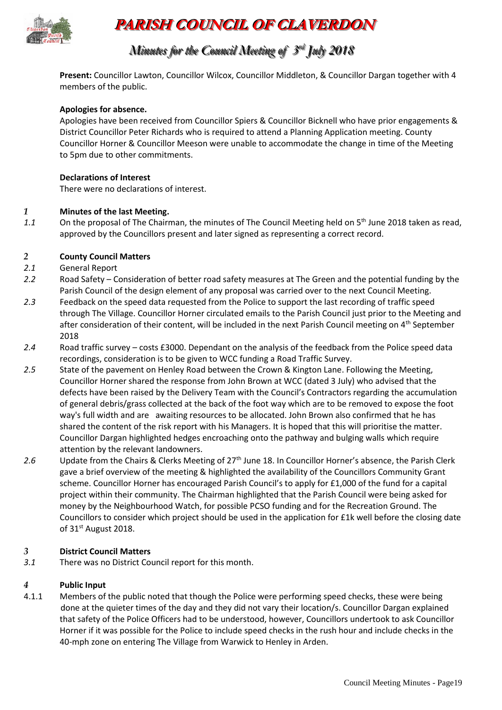

# **PARISH COUNCIL OF CLAVERDON**

## *Minutes for the Council Meeting of 3 r rdd July 2018*

**Present:** Councillor Lawton, Councillor Wilcox, Councillor Middleton, & Councillor Dargan together with 4 members of the public.

## **Apologies for absence.**

Apologies have been received from Councillor Spiers & Councillor Bicknell who have prior engagements & District Councillor Peter Richards who is required to attend a Planning Application meeting. County Councillor Horner & Councillor Meeson were unable to accommodate the change in time of the Meeting to 5pm due to other commitments.

#### **Declarations of Interest**

There were no declarations of interest.

#### *1* **Minutes of the last Meeting.**

1.1 On the proposal of The Chairman, the minutes of The Council Meeting held on 5<sup>th</sup> June 2018 taken as read, approved by the Councillors present and later signed as representing a correct record.

## *2* **County Council Matters**

- *2.1* General Report
- *2.2* Road Safety Consideration of better road safety measures at The Green and the potential funding by the Parish Council of the design element of any proposal was carried over to the next Council Meeting.
- *2.3* Feedback on the speed data requested from the Police to support the last recording of traffic speed through The Village. Councillor Horner circulated emails to the Parish Council just prior to the Meeting and after consideration of their content, will be included in the next Parish Council meeting on 4<sup>th</sup> September 2018
- *2.4* Road traffic survey costs £3000. Dependant on the analysis of the feedback from the Police speed data recordings, consideration is to be given to WCC funding a Road Traffic Survey.
- *2.5* State of the pavement on Henley Road between the Crown & Kington Lane. Following the Meeting, Councillor Horner shared the response from John Brown at WCC (dated 3 July) who advised that the defects have been raised by the Delivery Team with the Council's Contractors regarding the accumulation of general debris/grass collected at the back of the foot way which are to be removed to expose the foot way's full width and are awaiting resources to be allocated. John Brown also confirmed that he has shared the content of the risk report with his Managers. It is hoped that this will prioritise the matter. Councillor Dargan highlighted hedges encroaching onto the pathway and bulging walls which require attention by the relevant landowners.
- 2.6 Update from the Chairs & Clerks Meeting of 27<sup>th</sup> June 18. In Councillor Horner's absence, the Parish Clerk gave a brief overview of the meeting & highlighted the availability of the Councillors Community Grant scheme. Councillor Horner has encouraged Parish Council's to apply for £1,000 of the fund for a capital project within their community. The Chairman highlighted that the Parish Council were being asked for money by the Neighbourhood Watch, for possible PCSO funding and for the Recreation Ground. The Councillors to consider which project should be used in the application for £1k well before the closing date of 31<sup>st</sup> August 2018.

#### *3* **District Council Matters**

*3.1* There was no District Council report for this month.

#### *4* **Public Input**

4.1.1 Members of the public noted that though the Police were performing speed checks, these were being done at the quieter times of the day and they did not vary their location/s. Councillor Dargan explained that safety of the Police Officers had to be understood, however, Councillors undertook to ask Councillor Horner if it was possible for the Police to include speed checks in the rush hour and include checks in the 40-mph zone on entering The Village from Warwick to Henley in Arden.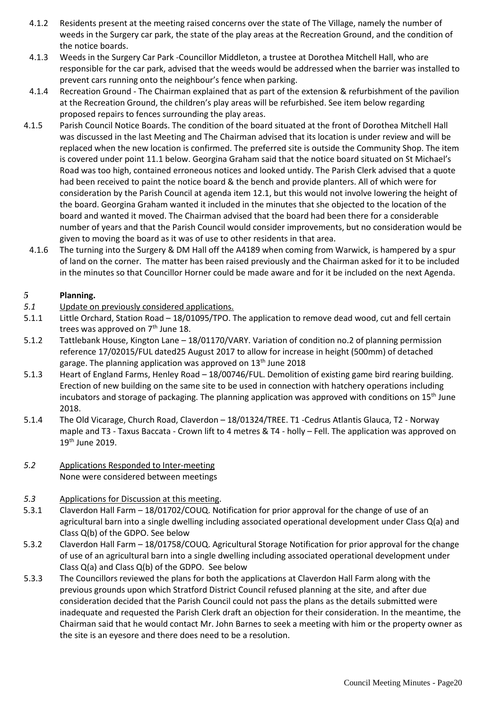- 4.1.2 Residents present at the meeting raised concerns over the state of The Village, namely the number of weeds in the Surgery car park, the state of the play areas at the Recreation Ground, and the condition of the notice boards.
- 4.1.3 Weeds in the Surgery Car Park -Councillor Middleton, a trustee at Dorothea Mitchell Hall, who are responsible for the car park, advised that the weeds would be addressed when the barrier was installed to prevent cars running onto the neighbour's fence when parking.
- 4.1.4 Recreation Ground The Chairman explained that as part of the extension & refurbishment of the pavilion at the Recreation Ground, the children's play areas will be refurbished. See item below regarding proposed repairs to fences surrounding the play areas.
- 4.1.5 Parish Council Notice Boards. The condition of the board situated at the front of Dorothea Mitchell Hall was discussed in the last Meeting and The Chairman advised that its location is under review and will be replaced when the new location is confirmed. The preferred site is outside the Community Shop. The item is covered under point 11.1 below. Georgina Graham said that the notice board situated on St Michael's Road was too high, contained erroneous notices and looked untidy. The Parish Clerk advised that a quote had been received to paint the notice board & the bench and provide planters. All of which were for consideration by the Parish Council at agenda item 12.1, but this would not involve lowering the height of the board. Georgina Graham wanted it included in the minutes that she objected to the location of the board and wanted it moved. The Chairman advised that the board had been there for a considerable number of years and that the Parish Council would consider improvements, but no consideration would be given to moving the board as it was of use to other residents in that area.
- 4.1.6 The turning into the Surgery & DM Hall off the A4189 when coming from Warwick, is hampered by a spur of land on the corner. The matter has been raised previously and the Chairman asked for it to be included in the minutes so that Councillor Horner could be made aware and for it be included on the next Agenda.

## *5* **Planning.**

- *5.1* Update on previously considered applications.
- 5.1.1 Little Orchard, Station Road 18/01095/TPO. The application to remove dead wood, cut and fell certain trees was approved on 7<sup>th</sup> June 18.
- 5.1.2 Tattlebank House, Kington Lane 18/01170/VARY. Variation of condition no.2 of planning permission reference 17/02015/FUL dated25 August 2017 to allow for increase in height (500mm) of detached garage. The planning application was approved on 13<sup>th</sup> June 2018
- 5.1.3 Heart of England Farms, Henley Road 18/00746/FUL. Demolition of existing game bird rearing building. Erection of new building on the same site to be used in connection with hatchery operations including incubators and storage of packaging. The planning application was approved with conditions on 15th June 2018.
- 5.1.4 The Old Vicarage, Church Road, Claverdon 18/01324/TREE. T1 -Cedrus Atlantis Glauca, T2 Norway maple and T3 - Taxus Baccata - Crown lift to 4 metres & T4 - holly – Fell. The application was approved on 19th June 2019.
- *5.2* Applications Responded to Inter-meeting None were considered between meetings

## *5.3* Applications for Discussion at this meeting.

- 5.3.1 Claverdon Hall Farm 18/01702/COUQ. Notification for prior approval for the change of use of an agricultural barn into a single dwelling including associated operational development under Class Q(a) and Class Q(b) of the GDPO. See below
- 5.3.2 Claverdon Hall Farm 18/01758/COUQ. Agricultural Storage Notification for prior approval for the change of use of an agricultural barn into a single dwelling including associated operational development under Class Q(a) and Class Q(b) of the GDPO. See below
- 5.3.3 The Councillors reviewed the plans for both the applications at Claverdon Hall Farm along with the previous grounds upon which Stratford District Council refused planning at the site, and after due consideration decided that the Parish Council could not pass the plans as the details submitted were inadequate and requested the Parish Clerk draft an objection for their consideration. In the meantime, the Chairman said that he would contact Mr. John Barnes to seek a meeting with him or the property owner as the site is an eyesore and there does need to be a resolution.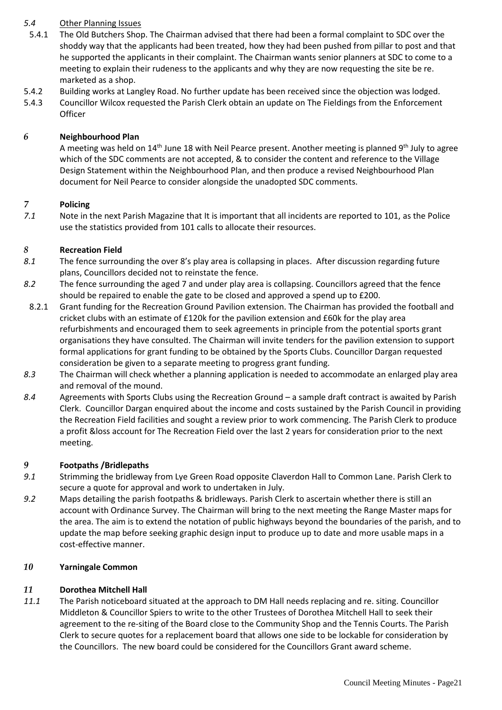## *5.4* Other Planning Issues

- 5.4.1 The Old Butchers Shop. The Chairman advised that there had been a formal complaint to SDC over the shoddy way that the applicants had been treated, how they had been pushed from pillar to post and that he supported the applicants in their complaint. The Chairman wants senior planners at SDC to come to a meeting to explain their rudeness to the applicants and why they are now requesting the site be re. marketed as a shop.
- 5.4.2 Building works at Langley Road. No further update has been received since the objection was lodged.
- 5.4.3 Councillor Wilcox requested the Parish Clerk obtain an update on The Fieldings from the Enforcement **Officer**

#### *6* **Neighbourhood Plan**

A meeting was held on 14<sup>th</sup> June 18 with Neil Pearce present. Another meeting is planned 9<sup>th</sup> July to agree which of the SDC comments are not accepted, & to consider the content and reference to the Village Design Statement within the Neighbourhood Plan, and then produce a revised Neighbourhood Plan document for Neil Pearce to consider alongside the unadopted SDC comments.

#### *7* **Policing**

*7.1* Note in the next Parish Magazine that It is important that all incidents are reported to 101, as the Police use the statistics provided from 101 calls to allocate their resources.

#### *8* **Recreation Field**

- *8.1* The fence surrounding the over 8's play area is collapsing in places. After discussion regarding future plans, Councillors decided not to reinstate the fence.
- *8.2* The fence surrounding the aged 7 and under play area is collapsing. Councillors agreed that the fence should be repaired to enable the gate to be closed and approved a spend up to £200.
- 8.2.1 Grant funding for the Recreation Ground Pavilion extension. The Chairman has provided the football and cricket clubs with an estimate of £120k for the pavilion extension and £60k for the play area refurbishments and encouraged them to seek agreements in principle from the potential sports grant organisations they have consulted. The Chairman will invite tenders for the pavilion extension to support formal applications for grant funding to be obtained by the Sports Clubs. Councillor Dargan requested consideration be given to a separate meeting to progress grant funding.
- *8.3* The Chairman will check whether a planning application is needed to accommodate an enlarged play area and removal of the mound.
- *8.4* Agreements with Sports Clubs using the Recreation Ground a sample draft contract is awaited by Parish Clerk. Councillor Dargan enquired about the income and costs sustained by the Parish Council in providing the Recreation Field facilities and sought a review prior to work commencing. The Parish Clerk to produce a profit &loss account for The Recreation Field over the last 2 years for consideration prior to the next meeting.

#### *9* **Footpaths /Bridlepaths**

- *9.1* Strimming the bridleway from Lye Green Road opposite Claverdon Hall to Common Lane. Parish Clerk to secure a quote for approval and work to undertaken in July.
- *9.2* Maps detailing the parish footpaths & bridleways. Parish Clerk to ascertain whether there is still an account with Ordinance Survey. The Chairman will bring to the next meeting the Range Master maps for the area. The aim is to extend the notation of public highways beyond the boundaries of the parish, and to update the map before seeking graphic design input to produce up to date and more usable maps in a cost-effective manner.

## *10* **Yarningale Common**

## *11* **Dorothea Mitchell Hall**

*11.1* The Parish noticeboard situated at the approach to DM Hall needs replacing and re. siting. Councillor Middleton & Councillor Spiers to write to the other Trustees of Dorothea Mitchell Hall to seek their agreement to the re-siting of the Board close to the Community Shop and the Tennis Courts. The Parish Clerk to secure quotes for a replacement board that allows one side to be lockable for consideration by the Councillors. The new board could be considered for the Councillors Grant award scheme.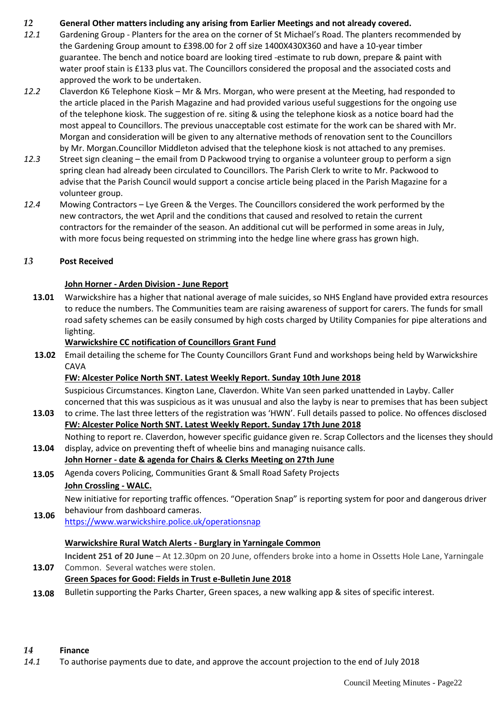## *12* **General Other matters including any arising from Earlier Meetings and not already covered.**

- *12.1* Gardening Group Planters for the area on the corner of St Michael's Road. The planters recommended by the Gardening Group amount to £398.00 for 2 off size 1400X430X360 and have a 10-year timber guarantee. The bench and notice board are looking tired -estimate to rub down, prepare & paint with water proof stain is £133 plus vat. The Councillors considered the proposal and the associated costs and approved the work to be undertaken.
- *12.2* Claverdon K6 Telephone Kiosk Mr & Mrs. Morgan, who were present at the Meeting, had responded to the article placed in the Parish Magazine and had provided various useful suggestions for the ongoing use of the telephone kiosk. The suggestion of re. siting & using the telephone kiosk as a notice board had the most appeal to Councillors. The previous unacceptable cost estimate for the work can be shared with Mr. Morgan and consideration will be given to any alternative methods of renovation sent to the Councillors by Mr. Morgan.Councillor Middleton advised that the telephone kiosk is not attached to any premises.
- *12.3* Street sign cleaning the email from D Packwood trying to organise a volunteer group to perform a sign spring clean had already been circulated to Councillors. The Parish Clerk to write to Mr. Packwood to advise that the Parish Council would support a concise article being placed in the Parish Magazine for a volunteer group.
- *12.4* Mowing Contractors Lye Green & the Verges. The Councillors considered the work performed by the new contractors, the wet April and the conditions that caused and resolved to retain the current contractors for the remainder of the season. An additional cut will be performed in some areas in July, with more focus being requested on strimming into the hedge line where grass has grown high.

## *13* **Post Received**

#### **John Horner - Arden Division - June Report**

**13.01** Warwickshire has a higher that national average of male suicides, so NHS England have provided extra resources to reduce the numbers. The Communities team are raising awareness of support for carers. The funds for small road safety schemes can be easily consumed by high costs charged by Utility Companies for pipe alterations and lighting.

#### **Warwickshire CC notification of Councillors Grant Fund**

**13.02** Email detailing the scheme for The County Councillors Grant Fund and workshops being held by Warwickshire CAVA

#### **FW: Alcester Police North SNT. Latest Weekly Report. Sunday 10th June 2018**

Suspicious Circumstances. Kington Lane, Claverdon. White Van seen parked unattended in Layby. Caller concerned that this was suspicious as it was unusual and also the layby is near to premises that has been subject

- **13.03** to crime. The last three letters of the registration was 'HWN'. Full details passed to police. No offences disclosed **FW: Alcester Police North SNT. Latest Weekly Report. Sunday 17th June 2018** Nothing to report re. Claverdon, however specific guidance given re. Scrap Collectors and the licenses they should
- **13.04** display, advice on preventing theft of wheelie bins and managing nuisance calls. **John Horner - date & agenda for Chairs & Clerks Meeting on 27th June**
- **13.05** Agenda covers Policing, Communities Grant & Small Road Safety Projects

## **John Crossling - WALC.**

**13.06** New initiative for reporting traffic offences. "Operation Snap" is reporting system for poor and dangerous driver behaviour from dashboard cameras.

<https://www.warwickshire.police.uk/operationsnap>

## **Warwickshire Rural Watch Alerts - Burglary in Yarningale Common**

**13.07 Incident 251 of 20 June** – At 12.30pm on 20 June, offenders broke into a home in Ossetts Hole Lane, Yarningale Common. Several watches were stolen.

## **Green Spaces for Good: Fields in Trust e-Bulletin June 2018**

**13.08** Bulletin supporting the Parks Charter, Green spaces, a new walking app & sites of specific interest.

#### *14* **Finance**

*14.1* To authorise payments due to date, and approve the account projection to the end of July 2018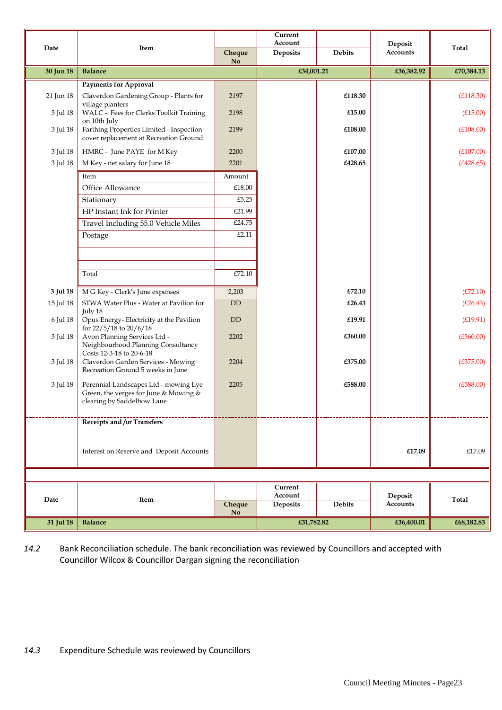|           |                                                                                                              |           | Current<br>Account  |               | Deposit                    |            |
|-----------|--------------------------------------------------------------------------------------------------------------|-----------|---------------------|---------------|----------------------------|------------|
| Date      | Item                                                                                                         | Cheque    | Deposits            | <b>Debits</b> | Accounts                   | Total      |
| 30 Jun 18 | <b>Balance</b>                                                                                               | <b>No</b> | £34,001.21          |               | £36,382.92                 | £70,384.13 |
|           | <b>Payments for Approval</b>                                                                                 |           |                     |               |                            |            |
| 21 Jun 18 | Claverdon Gardening Group - Plants for                                                                       | 2197      |                     | £118.30       |                            | (E118.30)  |
| 3 Jul 18  | village planters<br>WALC - Fees for Clerks Toolkit Training<br>on 10th July                                  | 2198      |                     | £15.00        |                            | (E15.00)   |
| 3 Jul 18  | Farthing Properties Limited - Inspection<br>cover replacement at Recreation Ground                           | 2199      |                     | £108.00       |                            | (E108.00)  |
| 3 Jul 18  | HMRC - June PAYE for M Key                                                                                   | 2200      |                     | £107.00       |                            | (E107.00)  |
| 3 Jul 18  | M Key - net salary for June 18                                                                               | 2201      |                     | £428.65       |                            | (E428.65)  |
|           | Item                                                                                                         | Amount    |                     |               |                            |            |
|           | Office Allowance                                                                                             | £18.00    |                     |               |                            |            |
|           | Stationary                                                                                                   | £5.25     |                     |               |                            |            |
|           | HP Instant Ink for Printer                                                                                   | £21.99    |                     |               |                            |            |
|           | Travel Including 55.0 Vehicle Miles                                                                          | £24.75    |                     |               |                            |            |
|           | Postage                                                                                                      | £2.11     |                     |               |                            |            |
|           |                                                                                                              |           |                     |               |                            |            |
|           | Total                                                                                                        | £72.10    |                     |               |                            |            |
| 3 Jul 18  | M G Key - Clerk's June expenses                                                                              | 2,203     |                     | £72.10        |                            | (E72.10)   |
| 15 Jul 18 | STWA Water Plus - Water at Pavilion for                                                                      | <b>DD</b> |                     | £26.43        |                            | (E26.43)   |
| 6 Jul 18  | July 18<br>Opus Energy-Electricity at the Pavilion                                                           | <b>DD</b> |                     | £19.91        |                            | (E19.91)   |
|           | for 22/5/18 to 20/6/18                                                                                       |           |                     |               |                            |            |
| 3 Jul 18  | Avon Planning Services Ltd -<br>Neighbourhood Planning Consultancy<br>Costs 12-3-18 to 20-6-18               | 2202      |                     | £360.00       |                            | (E360.00)  |
| 3 Jul 18  | Claverdon Garden Services - Mowing<br>Recreation Ground 5 weeks in June                                      | 2204      |                     | £375.00       |                            | (E375.00)  |
| 3 Jul 18  | Perennial Landscapes Ltd - mowing Lye<br>Green, the verges for June & Mowing &<br>clearing by Saddelbow Lane | 2205      |                     | £588.00       |                            | (E588.00)  |
|           | Receipts and /or Transfers                                                                                   |           |                     |               |                            |            |
|           |                                                                                                              |           |                     |               |                            |            |
|           | Interest on Reserve and Deposit Accounts                                                                     |           |                     |               | £17.09                     | £17.09     |
|           |                                                                                                              |           |                     |               |                            |            |
|           |                                                                                                              |           | Current             |               |                            |            |
| Date      | Item                                                                                                         | Cheque    | Account<br>Deposits | Debits        | Deposit<br><b>Accounts</b> | Total      |
|           |                                                                                                              | <b>No</b> |                     |               |                            |            |
| 31 Jul 18 | <b>Balance</b>                                                                                               |           | £31,782.82          |               | £36,400.01                 | £68,182.83 |

*14.2* Bank Reconciliation schedule. The bank reconciliation was reviewed by Councillors and accepted with Councillor Wilcox & Councillor Dargan signing the reconciliation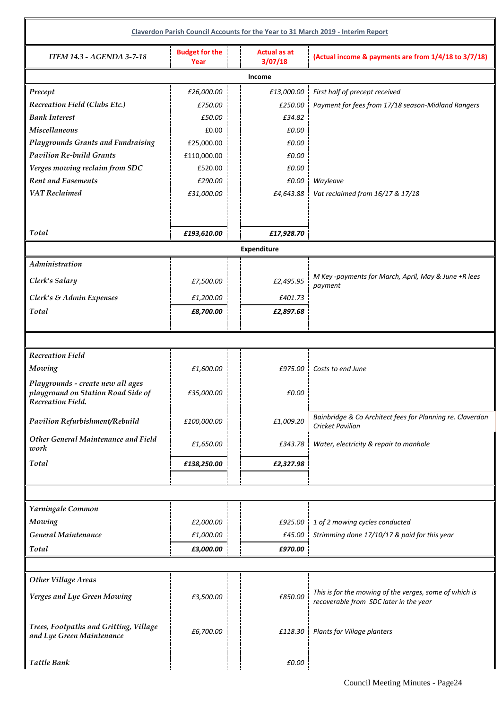|                                                                         |                               |                                | Claverdon Parish Council Accounts for the Year to 31 March 2019 - Interim Report     |  |  |  |  |  |  |
|-------------------------------------------------------------------------|-------------------------------|--------------------------------|--------------------------------------------------------------------------------------|--|--|--|--|--|--|
| <b>ITEM 14.3 - AGENDA 3-7-18</b>                                        | <b>Budget for the</b><br>Year | <b>Actual as at</b><br>3/07/18 | (Actual income & payments are from 1/4/18 to 3/7/18)                                 |  |  |  |  |  |  |
| Income                                                                  |                               |                                |                                                                                      |  |  |  |  |  |  |
| Precept                                                                 | £26,000.00                    | £13,000.00                     | First half of precept received                                                       |  |  |  |  |  |  |
| <b>Recreation Field (Clubs Etc.)</b>                                    | £750.00                       | $£250.00$ $\frac{1}{2}$        | Payment for fees from 17/18 season-Midland Rangers                                   |  |  |  |  |  |  |
| <b>Bank Interest</b>                                                    | £50.00                        | £34.82                         |                                                                                      |  |  |  |  |  |  |
| <b>Miscellaneous</b>                                                    | £0.00                         | £0.00                          |                                                                                      |  |  |  |  |  |  |
| <b>Playgrounds Grants and Fundraising</b>                               | £25,000.00                    | £0.00                          |                                                                                      |  |  |  |  |  |  |
| <b>Pavilion Re-build Grants</b>                                         | £110,000.00                   | £0.00                          |                                                                                      |  |  |  |  |  |  |
| Verges mowing reclaim from SDC                                          | £520.00                       | £0.00                          |                                                                                      |  |  |  |  |  |  |
| <b>Rent and Easements</b>                                               | £290.00                       | £0.00                          | Wayleave                                                                             |  |  |  |  |  |  |
| <b>VAT</b> Reclaimed                                                    | £31,000.00                    | £4,643.88                      | Vat reclaimed from 16/17 & 17/18                                                     |  |  |  |  |  |  |
|                                                                         |                               |                                |                                                                                      |  |  |  |  |  |  |
| Total                                                                   | £193,610.00                   | £17,928.70                     |                                                                                      |  |  |  |  |  |  |
|                                                                         |                               | <b>Expenditure</b>             |                                                                                      |  |  |  |  |  |  |
| Administration                                                          |                               |                                |                                                                                      |  |  |  |  |  |  |
| Clerk's Salary                                                          | £7,500.00                     | £2,495.95                      | M Key -payments for March, April, May & June +R lees                                 |  |  |  |  |  |  |
| Clerk's & Admin Expenses                                                |                               | £401.73                        | payment                                                                              |  |  |  |  |  |  |
| Total                                                                   | £1,200.00                     |                                |                                                                                      |  |  |  |  |  |  |
|                                                                         | £8,700.00                     | £2,897.68                      |                                                                                      |  |  |  |  |  |  |
|                                                                         |                               |                                |                                                                                      |  |  |  |  |  |  |
|                                                                         |                               |                                |                                                                                      |  |  |  |  |  |  |
| <b>Recreation Field</b>                                                 |                               |                                |                                                                                      |  |  |  |  |  |  |
| Mowing                                                                  | £1,600.00                     | £975.00 l                      | Costs to end June                                                                    |  |  |  |  |  |  |
| Playgrounds - create new all ages<br>playground on Station Road Side of | £35,000.00                    | £0.00                          |                                                                                      |  |  |  |  |  |  |
| Recreation Field.                                                       |                               |                                |                                                                                      |  |  |  |  |  |  |
| Pavilion Refurbishment/Rebuild                                          | £100,000.00                   | £1,009.20                      | Bainbridge & Co Architect fees for Planning re. Claverdon<br><b>Cricket Pavilion</b> |  |  |  |  |  |  |
| Other General Maintenance and Field<br>work                             | £1,650.00                     | £343.78                        | Water, electricity & repair to manhole                                               |  |  |  |  |  |  |
| <b>Total</b>                                                            | £138,250.00                   | £2,327.98                      |                                                                                      |  |  |  |  |  |  |
|                                                                         |                               |                                |                                                                                      |  |  |  |  |  |  |
|                                                                         |                               |                                |                                                                                      |  |  |  |  |  |  |
| Yarningale Common                                                       |                               |                                |                                                                                      |  |  |  |  |  |  |
| Mowing                                                                  | £2,000.00                     | £925.00                        | 1 of 2 mowing cycles conducted                                                       |  |  |  |  |  |  |
| General Maintenance                                                     | £1,000.00                     |                                | £45.00 Strimming done 17/10/17 & paid for this year                                  |  |  |  |  |  |  |
| Total                                                                   | £3,000.00                     | £970.00                        |                                                                                      |  |  |  |  |  |  |
|                                                                         |                               |                                |                                                                                      |  |  |  |  |  |  |
| <b>Other Village Areas</b>                                              |                               |                                |                                                                                      |  |  |  |  |  |  |
|                                                                         |                               |                                | This is for the mowing of the verges, some of which is                               |  |  |  |  |  |  |
| Verges and Lye Green Mowing                                             | £3,500.00                     | £850.00                        | recoverable from SDC later in the year                                               |  |  |  |  |  |  |
|                                                                         |                               |                                |                                                                                      |  |  |  |  |  |  |
| Trees, Footpaths and Gritting, Village                                  | £6,700.00                     | £118.30                        | Plants for Village planters                                                          |  |  |  |  |  |  |
| and Lye Green Maintenance                                               |                               |                                |                                                                                      |  |  |  |  |  |  |
| <b>Tattle Bank</b>                                                      |                               | £0.00                          |                                                                                      |  |  |  |  |  |  |